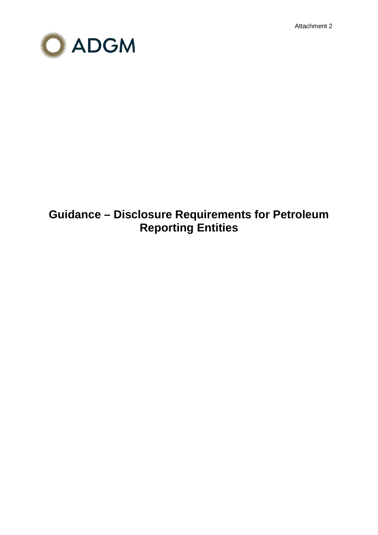Attachment 2



# **Guidance – Disclosure Requirements for Petroleum Reporting Entities**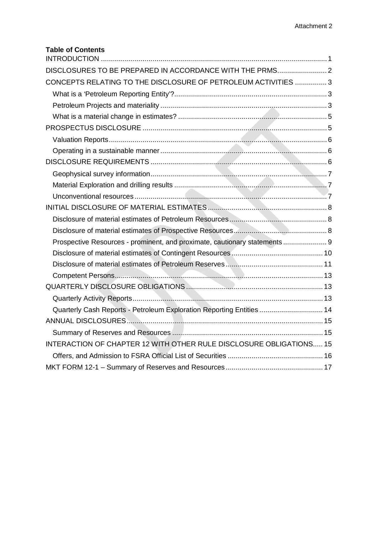## **Table of Contents**

| DISCLOSURES TO BE PREPARED IN ACCORDANCE WITH THE PRMS 2                  |  |
|---------------------------------------------------------------------------|--|
| CONCEPTS RELATING TO THE DISCLOSURE OF PETROLEUM ACTIVITIES  3            |  |
|                                                                           |  |
|                                                                           |  |
|                                                                           |  |
|                                                                           |  |
|                                                                           |  |
|                                                                           |  |
|                                                                           |  |
|                                                                           |  |
|                                                                           |  |
|                                                                           |  |
|                                                                           |  |
|                                                                           |  |
|                                                                           |  |
| Prospective Resources - prominent, and proximate, cautionary statements 9 |  |
|                                                                           |  |
|                                                                           |  |
|                                                                           |  |
|                                                                           |  |
|                                                                           |  |
| Quarterly Cash Reports - Petroleum Exploration Reporting Entities  14     |  |
|                                                                           |  |
|                                                                           |  |
| INTERACTION OF CHAPTER 12 WITH OTHER RULE DISCLOSURE OBLIGATIONS 15       |  |
|                                                                           |  |
|                                                                           |  |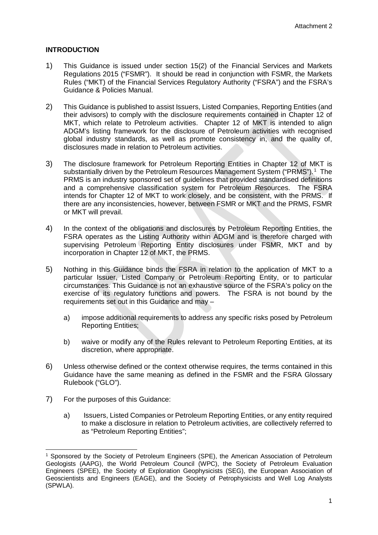## <span id="page-2-0"></span>**INTRODUCTION**

- 1) This Guidance is issued under section 15(2) of the Financial Services and Markets Regulations 2015 ("FSMR"). It should be read in conjunction with FSMR, the Markets Rules ("MKT) of the Financial Services Regulatory Authority ("FSRA") and the FSRA's Guidance & Policies Manual.
- 2) This Guidance is published to assist Issuers, Listed Companies, Reporting Entities (and their advisors) to comply with the disclosure requirements contained in Chapter 12 of MKT, which relate to Petroleum activities. Chapter 12 of MKT is intended to align ADGM's listing framework for the disclosure of Petroleum activities with recognised global industry standards, as well as promote consistency in, and the quality of, disclosures made in relation to Petroleum activities.
- 3) The disclosure framework for Petroleum Reporting Entities in Chapter 12 of MKT is substantially driven by the Petroleum Resources Management System ("PRMS").<sup>[1](#page-2-1)</sup> The PRMS is an industry sponsored set of guidelines that provided standardised definitions and a comprehensive classification system for Petroleum Resources. The FSRA intends for Chapter 12 of MKT to work closely, and be consistent, with the PRMS. If there are any inconsistencies, however, between FSMR or MKT and the PRMS, FSMR or MKT will prevail.
- 4) In the context of the obligations and disclosures by Petroleum Reporting Entities, the FSRA operates as the Listing Authority within ADGM and is therefore charged with supervising Petroleum Reporting Entity disclosures under FSMR, MKT and by incorporation in Chapter 12 of MKT, the PRMS.
- 5) Nothing in this Guidance binds the FSRA in relation to the application of MKT to a particular Issuer, Listed Company or Petroleum Reporting Entity, or to particular circumstances. This Guidance is not an exhaustive source of the FSRA's policy on the exercise of its regulatory functions and powers. The FSRA is not bound by the requirements set out in this Guidance and may –
	- a) impose additional requirements to address any specific risks posed by Petroleum Reporting Entities;
	- b) waive or modify any of the Rules relevant to Petroleum Reporting Entities, at its discretion, where appropriate.
- 6) Unless otherwise defined or the context otherwise requires, the terms contained in this Guidance have the same meaning as defined in the FSMR and the FSRA Glossary Rulebook ("GLO").
- 7) For the purposes of this Guidance:
	- a) Issuers, Listed Companies or Petroleum Reporting Entities, or any entity required to make a disclosure in relation to Petroleum activities, are collectively referred to as "Petroleum Reporting Entities";

<span id="page-2-1"></span> <sup>1</sup> Sponsored by the Society of Petroleum Engineers (SPE), the American Association of Petroleum Geologists (AAPG), the World Petroleum Council (WPC), the Society of Petroleum Evaluation Engineers (SPEE), the Society of Exploration Geophysicists (SEG), the European Association of Geoscientists and Engineers (EAGE), and the Society of Petrophysicists and Well Log Analysts (SPWLA).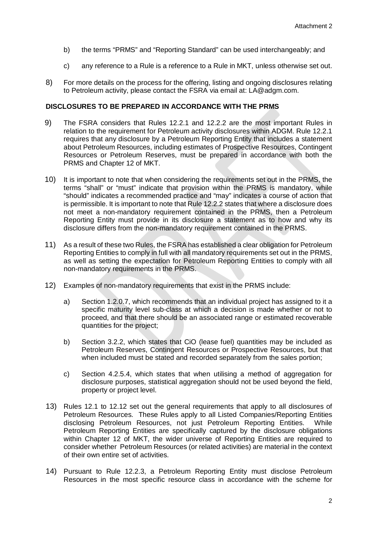- b) the terms "PRMS" and "Reporting Standard" can be used interchangeably; and
- c) any reference to a Rule is a reference to a Rule in MKT, unless otherwise set out.
- 8) For more details on the process for the offering, listing and ongoing disclosures relating to Petroleum activity, please contact the FSRA via email at: LA@adgm.com.

### <span id="page-3-0"></span>**DISCLOSURES TO BE PREPARED IN ACCORDANCE WITH THE PRMS**

- 9) The FSRA considers that Rules 12.2.1 and 12.2.2 are the most important Rules in relation to the requirement for Petroleum activity disclosures within ADGM. Rule 12.2.1 requires that any disclosure by a Petroleum Reporting Entity that includes a statement about Petroleum Resources, including estimates of Prospective Resources, Contingent Resources or Petroleum Reserves, must be prepared in accordance with both the PRMS and Chapter 12 of MKT.
- 10) It is important to note that when considering the requirements set out in the PRMS, the terms "shall" or "must" indicate that provision within the PRMS is mandatory, while "should" indicates a recommended practice and "may" indicates a course of action that is permissible. It is important to note that Rule 12.2.2 states that where a disclosure does not meet a non-mandatory requirement contained in the PRMS, then a Petroleum Reporting Entity must provide in its disclosure a statement as to how and why its disclosure differs from the non-mandatory requirement contained in the PRMS.
- 11) As a result of these two Rules, the FSRA has established a clear obligation for Petroleum Reporting Entities to comply in full with all mandatory requirements set out in the PRMS, as well as setting the expectation for Petroleum Reporting Entities to comply with all non-mandatory requirements in the PRMS.
- 12) Examples of non-mandatory requirements that exist in the PRMS include:
	- a) Section 1.2.0.7, which recommends that an individual project has assigned to it a specific maturity level sub-class at which a decision is made whether or not to proceed, and that there should be an associated range or estimated recoverable quantities for the project;
	- b) Section 3.2.2, which states that CiO (lease fuel) quantities may be included as Petroleum Reserves, Contingent Resources or Prospective Resources, but that when included must be stated and recorded separately from the sales portion;
	- c) Section 4.2.5.4, which states that when utilising a method of aggregation for disclosure purposes, statistical aggregation should not be used beyond the field, property or project level.
- 13) Rules 12.1 to 12.12 set out the general requirements that apply to all disclosures of Petroleum Resources. These Rules apply to all Listed Companies/Reporting Entities disclosing Petroleum Resources, not just Petroleum Reporting Entities. While Petroleum Reporting Entities are specifically captured by the disclosure obligations within Chapter 12 of MKT, the wider universe of Reporting Entities are required to consider whether Petroleum Resources (or related activities) are material in the context of their own entire set of activities.
- 14) Pursuant to Rule 12.2.3, a Petroleum Reporting Entity must disclose Petroleum Resources in the most specific resource class in accordance with the scheme for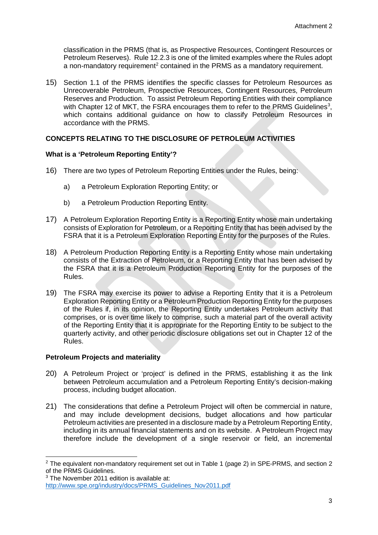classification in the PRMS (that is, as Prospective Resources, Contingent Resources or Petroleum Reserves). Rule 12.2.3 is one of the limited examples where the Rules adopt a non-mandatory requirement<sup>[2](#page-4-3)</sup> contained in the PRMS as a mandatory requirement.

15) Section 1.1 of the PRMS identifies the specific classes for Petroleum Resources as Unrecoverable Petroleum, Prospective Resources, Contingent Resources, Petroleum Reserves and Production. To assist Petroleum Reporting Entities with their compliance with Chapter 12 of MKT, the FSRA encourages them to refer to the PRMS Guidelines<sup>3</sup>, which contains additional quidance on how to classify Petroleum Resources in accordance with the PRMS.

## <span id="page-4-0"></span>**CONCEPTS RELATING TO THE DISCLOSURE OF PETROLEUM ACTIVITIES**

## <span id="page-4-1"></span>**What is a 'Petroleum Reporting Entity'?**

- 16) There are two types of Petroleum Reporting Entities under the Rules, being:
	- a) a Petroleum Exploration Reporting Entity; or
	- b) a Petroleum Production Reporting Entity.
- 17) A Petroleum Exploration Reporting Entity is a Reporting Entity whose main undertaking consists of Exploration for Petroleum, or a Reporting Entity that has been advised by the FSRA that it is a Petroleum Exploration Reporting Entity for the purposes of the Rules.
- 18) A Petroleum Production Reporting Entity is a Reporting Entity whose main undertaking consists of the Extraction of Petroleum, or a Reporting Entity that has been advised by the FSRA that it is a Petroleum Production Reporting Entity for the purposes of the Rules.
- 19) The FSRA may exercise its power to advise a Reporting Entity that it is a Petroleum Exploration Reporting Entity or a Petroleum Production Reporting Entity for the purposes of the Rules if, in its opinion, the Reporting Entity undertakes Petroleum activity that comprises, or is over time likely to comprise, such a material part of the overall activity of the Reporting Entity that it is appropriate for the Reporting Entity to be subject to the quarterly activity, and other periodic disclosure obligations set out in Chapter 12 of the Rules.

#### <span id="page-4-2"></span>**Petroleum Projects and materiality**

- 20) A Petroleum Project or 'project' is defined in the PRMS, establishing it as the link between Petroleum accumulation and a Petroleum Reporting Entity's decision-making process, including budget allocation.
- 21) The considerations that define a Petroleum Project will often be commercial in nature, and may include development decisions, budget allocations and how particular Petroleum activities are presented in a disclosure made by a Petroleum Reporting Entity, including in its annual financial statements and on its website. A Petroleum Project may therefore include the development of a single reservoir or field, an incremental

<span id="page-4-3"></span><sup>&</sup>lt;sup>2</sup> The equivalent non-mandatory requirement set out in Table 1 (page 2) in SPE-PRMS, and section 2 of the PRMS Guidelines.

<span id="page-4-4"></span><sup>&</sup>lt;sup>3</sup> The November 2011 edition is available at: [http://www.spe.org/industry/docs/PRMS\\_Guidelines\\_Nov2011.pdf](http://www.spe.org/industry/docs/PRMS_Guidelines_Nov2011.pdf)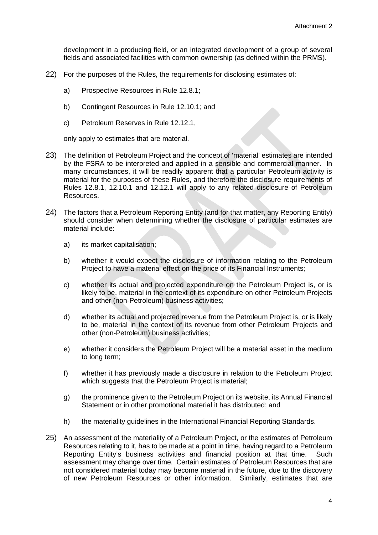development in a producing field, or an integrated development of a group of several fields and associated facilities with common ownership (as defined within the PRMS).

- 22) For the purposes of the Rules, the requirements for disclosing estimates of:
	- a) Prospective Resources in Rule 12.8.1;
	- b) Contingent Resources in Rule 12.10.1; and
	- c) Petroleum Reserves in Rule 12.12.1,

only apply to estimates that are material.

- 23) The definition of Petroleum Project and the concept of 'material' estimates are intended by the FSRA to be interpreted and applied in a sensible and commercial manner. In many circumstances, it will be readily apparent that a particular Petroleum activity is material for the purposes of these Rules, and therefore the disclosure requirements of Rules 12.8.1, 12.10.1 and 12.12.1 will apply to any related disclosure of Petroleum Resources.
- 24) The factors that a Petroleum Reporting Entity (and for that matter, any Reporting Entity) should consider when determining whether the disclosure of particular estimates are material include:
	- a) its market capitalisation;
	- b) whether it would expect the disclosure of information relating to the Petroleum Project to have a material effect on the price of its Financial Instruments;
	- c) whether its actual and projected expenditure on the Petroleum Project is, or is likely to be, material in the context of its expenditure on other Petroleum Projects and other (non-Petroleum) business activities;
	- d) whether its actual and projected revenue from the Petroleum Project is, or is likely to be, material in the context of its revenue from other Petroleum Projects and other (non-Petroleum) business activities;
	- e) whether it considers the Petroleum Project will be a material asset in the medium to long term;
	- f) whether it has previously made a disclosure in relation to the Petroleum Project which suggests that the Petroleum Project is material;
	- g) the prominence given to the Petroleum Project on its website, its Annual Financial Statement or in other promotional material it has distributed; and
	- h) the materiality guidelines in the International Financial Reporting Standards.
- 25) An assessment of the materiality of a Petroleum Project, or the estimates of Petroleum Resources relating to it, has to be made at a point in time, having regard to a Petroleum Reporting Entity's business activities and financial position at that time. Such assessment may change over time. Certain estimates of Petroleum Resources that are not considered material today may become material in the future, due to the discovery of new Petroleum Resources or other information. Similarly, estimates that are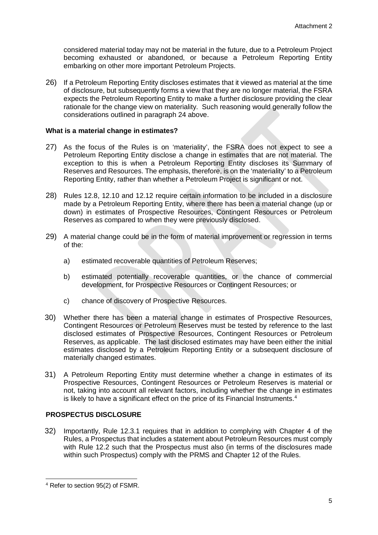considered material today may not be material in the future, due to a Petroleum Project becoming exhausted or abandoned, or because a Petroleum Reporting Entity embarking on other more important Petroleum Projects.

26) If a Petroleum Reporting Entity discloses estimates that it viewed as material at the time of disclosure, but subsequently forms a view that they are no longer material, the FSRA expects the Petroleum Reporting Entity to make a further disclosure providing the clear rationale for the change view on materiality. Such reasoning would generally follow the considerations outlined in paragraph 24 above.

#### <span id="page-6-0"></span>**What is a material change in estimates?**

- 27) As the focus of the Rules is on 'materiality', the FSRA does not expect to see a Petroleum Reporting Entity disclose a change in estimates that are not material. The exception to this is when a Petroleum Reporting Entity discloses its Summary of Reserves and Resources. The emphasis, therefore, is on the 'materiality' to a Petroleum Reporting Entity, rather than whether a Petroleum Project is significant or not.
- 28) Rules 12.8, 12.10 and 12.12 require certain information to be included in a disclosure made by a Petroleum Reporting Entity, where there has been a material change (up or down) in estimates of Prospective Resources, Contingent Resources or Petroleum Reserves as compared to when they were previously disclosed.
- 29) A material change could be in the form of material improvement or regression in terms of the:
	- a) estimated recoverable quantities of Petroleum Reserves;
	- b) estimated potentially recoverable quantities, or the chance of commercial development, for Prospective Resources or Contingent Resources; or
	- c) chance of discovery of Prospective Resources.
- 30) Whether there has been a material change in estimates of Prospective Resources, Contingent Resources or Petroleum Reserves must be tested by reference to the last disclosed estimates of Prospective Resources, Contingent Resources or Petroleum Reserves, as applicable. The last disclosed estimates may have been either the initial estimates disclosed by a Petroleum Reporting Entity or a subsequent disclosure of materially changed estimates.
- 31) A Petroleum Reporting Entity must determine whether a change in estimates of its Prospective Resources, Contingent Resources or Petroleum Reserves is material or not, taking into account all relevant factors, including whether the change in estimates is likely to have a significant effect on the price of its Financial Instruments.<sup>[4](#page-6-2)</sup>

## <span id="page-6-1"></span>**PROSPECTUS DISCLOSURE**

32) Importantly, Rule 12.3.1 requires that in addition to complying with Chapter 4 of the Rules, a Prospectus that includes a statement about Petroleum Resources must comply with Rule 12.2 such that the Prospectus must also (in terms of the disclosures made within such Prospectus) comply with the PRMS and Chapter 12 of the Rules.

<span id="page-6-2"></span> <sup>4</sup> Refer to section 95(2) of FSMR.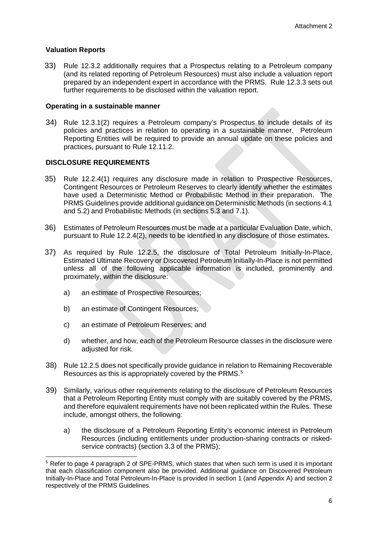## <span id="page-7-0"></span>**Valuation Reports**

33) Rule 12.3.2 additionally requires that a Prospectus relating to a Petroleum company (and its related reporting of Petroleum Resources) must also include a valuation report prepared by an independent expert in accordance with the PRMS. Rule 12.3.3 sets out further requirements to be disclosed within the valuation report.

### <span id="page-7-1"></span>**Operating in a sustainable manner**

34) Rule 12.3.1(2) requires a Petroleum company's Prospectus to include details of its policies and practices in relation to operating in a sustainable manner. Petroleum Reporting Entities will be required to provide an annual update on these policies and practices, pursuant to Rule 12.11.2.

## <span id="page-7-2"></span>**DISCLOSURE REQUIREMENTS**

- 35) Rule 12.2.4(1) requires any disclosure made in relation to Prospective Resources, Contingent Resources or Petroleum Reserves to clearly identify whether the estimates have used a Deterministic Method or Probabilistic Method in their preparation. The PRMS Guidelines provide additional guidance on Deterministic Methods (in sections 4.1 and 5.2) and Probabilistic Methods (in sections 5.3 and 7.1).
- 36) Estimates of Petroleum Resources must be made at a particular Evaluation Date, which, pursuant to Rule 12.2.4(2), needs to be identified in any disclosure of those estimates.
- 37) As required by Rule 12.2.5, the disclosure of Total Petroleum Initially-In-Place, Estimated Ultimate Recovery or Discovered Petroleum Initially-In-Place is not permitted unless all of the following applicable information is included, prominently and proximately, within the disclosure:
	- a) an estimate of Prospective Resources;
	- b) an estimate of Contingent Resources;
	- c) an estimate of Petroleum Reserves; and
	- d) whether, and how, each of the Petroleum Resource classes in the disclosure were adjusted for risk.
- 38) Rule 12.2.5 does not specifically provide guidance in relation to Remaining Recoverable Resources as this is appropriately covered by the PRMS.<sup>[5](#page-7-3)</sup>
- 39) Similarly, various other requirements relating to the disclosure of Petroleum Resources that a Petroleum Reporting Entity must comply with are suitably covered by the PRMS, and therefore equivalent requirements have not been replicated within the Rules. These include, amongst others, the following:
	- a) the disclosure of a Petroleum Reporting Entity's economic interest in Petroleum Resources (including entitlements under production-sharing contracts or riskedservice contracts) (section 3.3 of the PRMS);

<span id="page-7-3"></span> <sup>5</sup> Refer to page 4 paragraph 2 of SPE-PRMS, which states that when such term is used it is important that each classification component also be provided. Additional guidance on Discovered Petroleum Initially-In-Place and Total Petroleum-In-Place is provided in section 1 (and Appendix A) and section 2 respectively of the PRMS Guidelines.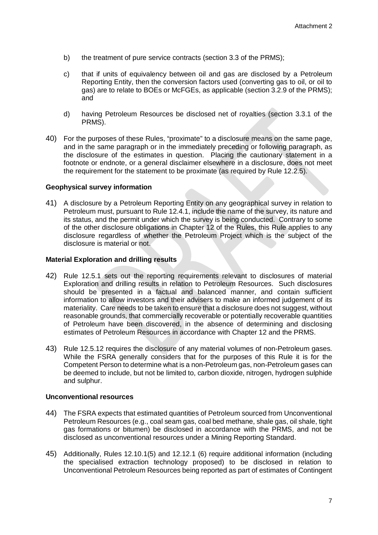- b) the treatment of pure service contracts (section 3.3 of the PRMS);
- c) that if units of equivalency between oil and gas are disclosed by a Petroleum Reporting Entity, then the conversion factors used (converting gas to oil, or oil to gas) are to relate to BOEs or McFGEs, as applicable (section 3.2.9 of the PRMS); and
- d) having Petroleum Resources be disclosed net of royalties (section 3.3.1 of the PRMS).
- 40) For the purposes of these Rules, "proximate" to a disclosure means on the same page, and in the same paragraph or in the immediately preceding or following paragraph, as the disclosure of the estimates in question. Placing the cautionary statement in a footnote or endnote, or a general disclaimer elsewhere in a disclosure, does not meet the requirement for the statement to be proximate (as required by Rule 12.2.5).

#### <span id="page-8-0"></span>**Geophysical survey information**

41) A disclosure by a Petroleum Reporting Entity on any geographical survey in relation to Petroleum must, pursuant to Rule 12.4.1, include the name of the survey, its nature and its status, and the permit under which the survey is being conducted. Contrary to some of the other disclosure obligations in Chapter 12 of the Rules, this Rule applies to any disclosure regardless of whether the Petroleum Project which is the subject of the disclosure is material or not.

### <span id="page-8-1"></span>**Material Exploration and drilling results**

- 42) Rule 12.5.1 sets out the reporting requirements relevant to disclosures of material Exploration and drilling results in relation to Petroleum Resources. Such disclosures should be presented in a factual and balanced manner, and contain sufficient information to allow investors and their advisers to make an informed judgement of its materiality. Care needs to be taken to ensure that a disclosure does not suggest, without reasonable grounds, that commercially recoverable or potentially recoverable quantities of Petroleum have been discovered, in the absence of determining and disclosing estimates of Petroleum Resources in accordance with Chapter 12 and the PRMS.
- 43) Rule 12.5.12 requires the disclosure of any material volumes of non-Petroleum gases. While the FSRA generally considers that for the purposes of this Rule it is for the Competent Person to determine what is a non-Petroleum gas, non-Petroleum gases can be deemed to include, but not be limited to, carbon dioxide, nitrogen, hydrogen sulphide and sulphur.

#### <span id="page-8-2"></span>**Unconventional resources**

- 44) The FSRA expects that estimated quantities of Petroleum sourced from Unconventional Petroleum Resources (e.g., coal seam gas, coal bed methane, shale gas, oil shale, tight gas formations or bitumen) be disclosed in accordance with the PRMS, and not be disclosed as unconventional resources under a Mining Reporting Standard.
- 45) Additionally, Rules 12.10.1(5) and 12.12.1 (6) require additional information (including the specialised extraction technology proposed) to be disclosed in relation to Unconventional Petroleum Resources being reported as part of estimates of Contingent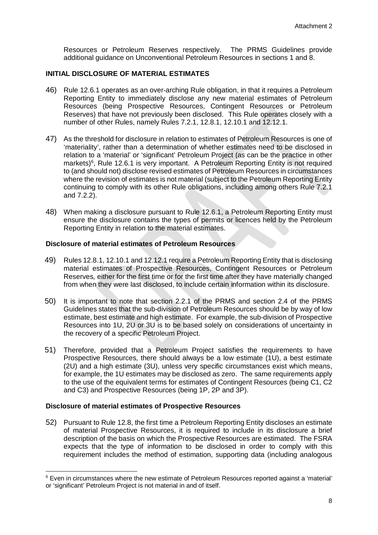Resources or Petroleum Reserves respectively. The PRMS Guidelines provide additional guidance on Unconventional Petroleum Resources in sections 1 and 8.

## <span id="page-9-0"></span>**INITIAL DISCLOSURE OF MATERIAL ESTIMATES**

- 46) Rule 12.6.1 operates as an over-arching Rule obligation, in that it requires a Petroleum Reporting Entity to immediately disclose any new material estimates of Petroleum Resources (being Prospective Resources, Contingent Resources or Petroleum Reserves) that have not previously been disclosed. This Rule operates closely with a number of other Rules, namely Rules 7.2.1, 12.8.1, 12.10.1 and 12.12.1.
- 47) As the threshold for disclosure in relation to estimates of Petroleum Resources is one of 'materiality', rather than a determination of whether estimates need to be disclosed in relation to a 'material' or 'significant' Petroleum Project (as can be the practice in other markets)<sup>[6](#page-9-3)</sup>, Rule 12.6.1 is very important. A Petroleum Reporting Entity is not required to (and should not) disclose revised estimates of Petroleum Resources in circumstances where the revision of estimates is not material (subject to the Petroleum Reporting Entity continuing to comply with its other Rule obligations, including among others Rule 7.2.1 and 7.2.2).
- 48) When making a disclosure pursuant to Rule 12.6.1, a Petroleum Reporting Entity must ensure the disclosure contains the types of permits or licences held by the Petroleum Reporting Entity in relation to the material estimates.

## <span id="page-9-1"></span>**Disclosure of material estimates of Petroleum Resources**

- 49) Rules 12.8.1, 12.10.1 and 12.12.1 require a Petroleum Reporting Entity that is disclosing material estimates of Prospective Resources, Contingent Resources or Petroleum Reserves, either for the first time or for the first time after they have materially changed from when they were last disclosed, to include certain information within its disclosure.
- 50) It is important to note that section 2.2.1 of the PRMS and section 2.4 of the PRMS Guidelines states that the sub-division of Petroleum Resources should be by way of low estimate, best estimate and high estimate. For example, the sub-division of Prospective Resources into 1U, 2U or 3U is to be based solely on considerations of uncertainty in the recovery of a specific Petroleum Project.
- 51) Therefore, provided that a Petroleum Project satisfies the requirements to have Prospective Resources, there should always be a low estimate (1U), a best estimate (2U) and a high estimate (3U), unless very specific circumstances exist which means, for example, the 1U estimates may be disclosed as zero. The same requirements apply to the use of the equivalent terms for estimates of Contingent Resources (being C1, C2 and C3) and Prospective Resources (being 1P, 2P and 3P).

#### <span id="page-9-2"></span>**Disclosure of material estimates of Prospective Resources**

52) Pursuant to Rule 12.8, the first time a Petroleum Reporting Entity discloses an estimate of material Prospective Resources, it is required to include in its disclosure a brief description of the basis on which the Prospective Resources are estimated. The FSRA expects that the type of information to be disclosed in order to comply with this requirement includes the method of estimation, supporting data (including analogous

<span id="page-9-3"></span><sup>&</sup>lt;sup>6</sup> Even in circumstances where the new estimate of Petroleum Resources reported against a 'material' or 'significant' Petroleum Project is not material in and of itself.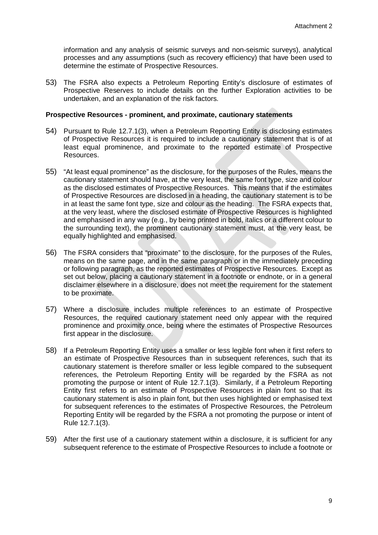information and any analysis of seismic surveys and non-seismic surveys), analytical processes and any assumptions (such as recovery efficiency) that have been used to determine the estimate of Prospective Resources.

53) The FSRA also expects a Petroleum Reporting Entity's disclosure of estimates of Prospective Reserves to include details on the further Exploration activities to be undertaken, and an explanation of the risk factors.

#### <span id="page-10-0"></span>**Prospective Resources - prominent, and proximate, cautionary statements**

- 54) Pursuant to Rule 12.7.1(3), when a Petroleum Reporting Entity is disclosing estimates of Prospective Resources it is required to include a cautionary statement that is of at least equal prominence, and proximate to the reported estimate of Prospective Resources.
- 55) "At least equal prominence" as the disclosure, for the purposes of the Rules, means the cautionary statement should have, at the very least, the same font type, size and colour as the disclosed estimates of Prospective Resources. This means that if the estimates of Prospective Resources are disclosed in a heading, the cautionary statement is to be in at least the same font type, size and colour as the heading. The FSRA expects that, at the very least, where the disclosed estimate of Prospective Resources is highlighted and emphasised in any way (e.g., by being printed in bold, italics or a different colour to the surrounding text), the prominent cautionary statement must, at the very least, be equally highlighted and emphasised.
- 56) The FSRA considers that "proximate" to the disclosure, for the purposes of the Rules, means on the same page, and in the same paragraph or in the immediately preceding or following paragraph, as the reported estimates of Prospective Resources. Except as set out below, placing a cautionary statement in a footnote or endnote, or in a general disclaimer elsewhere in a disclosure, does not meet the requirement for the statement to be proximate.
- 57) Where a disclosure includes multiple references to an estimate of Prospective Resources, the required cautionary statement need only appear with the required prominence and proximity once, being where the estimates of Prospective Resources first appear in the disclosure.
- 58) If a Petroleum Reporting Entity uses a smaller or less legible font when it first refers to an estimate of Prospective Resources than in subsequent references, such that its cautionary statement is therefore smaller or less legible compared to the subsequent references, the Petroleum Reporting Entity will be regarded by the FSRA as not promoting the purpose or intent of Rule 12.7.1(3). Similarly, if a Petroleum Reporting Entity first refers to an estimate of Prospective Resources in plain font so that its cautionary statement is also in plain font, but then uses highlighted or emphasised text for subsequent references to the estimates of Prospective Resources, the Petroleum Reporting Entity will be regarded by the FSRA a not promoting the purpose or intent of Rule 12.7.1(3).
- 59) After the first use of a cautionary statement within a disclosure, it is sufficient for any subsequent reference to the estimate of Prospective Resources to include a footnote or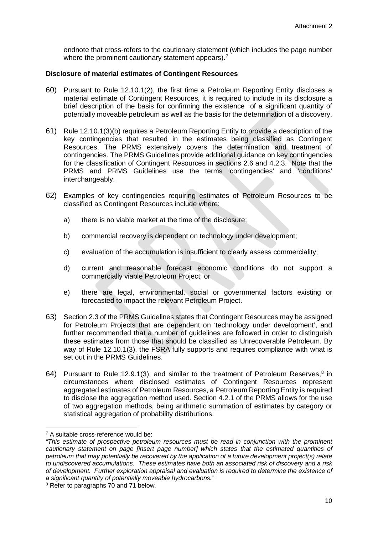endnote that cross-refers to the cautionary statement (which includes the page number where the prominent cautionary statement appears).<sup>[7](#page-11-1)</sup>

## <span id="page-11-0"></span>**Disclosure of material estimates of Contingent Resources**

- 60) Pursuant to Rule 12.10.1(2), the first time a Petroleum Reporting Entity discloses a material estimate of Contingent Resources, it is required to include in its disclosure a brief description of the basis for confirming the existence of a significant quantity of potentially moveable petroleum as well as the basis for the determination of a discovery.
- 61) Rule 12.10.1(3)(b) requires a Petroleum Reporting Entity to provide a description of the key contingencies that resulted in the estimates being classified as Contingent Resources. The PRMS extensively covers the determination and treatment of contingencies. The PRMS Guidelines provide additional guidance on key contingencies for the classification of Contingent Resources in sections 2.6 and 4.2.3. Note that the PRMS and PRMS Guidelines use the terms 'contingencies' and 'conditions' interchangeably.
- 62) Examples of key contingencies requiring estimates of Petroleum Resources to be classified as Contingent Resources include where:
	- a) there is no viable market at the time of the disclosure;
	- b) commercial recovery is dependent on technology under development;
	- c) evaluation of the accumulation is insufficient to clearly assess commerciality;
	- d) current and reasonable forecast economic conditions do not support a commercially viable Petroleum Project; or
	- e) there are legal, environmental, social or governmental factors existing or forecasted to impact the relevant Petroleum Project.
- 63) Section 2.3 of the PRMS Guidelines states that Contingent Resources may be assigned for Petroleum Projects that are dependent on 'technology under development', and further recommended that a number of guidelines are followed in order to distinguish these estimates from those that should be classified as Unrecoverable Petroleum. By way of Rule 12.10.1(3), the FSRA fully supports and requires compliance with what is set out in the PRMS Guidelines.
- 64) Pursuant to Rule 12.9.1(3), and similar to the treatment of Petroleum Reserves, $8$  in circumstances where disclosed estimates of Contingent Resources represent aggregated estimates of Petroleum Resources, a Petroleum Reporting Entity is required to disclose the aggregation method used. Section 4.2.1 of the PRMS allows for the use of two aggregation methods, being arithmetic summation of estimates by category or statistical aggregation of probability distributions.

<span id="page-11-1"></span> <sup>7</sup> A suitable cross-reference would be:

*<sup>&</sup>quot;This estimate of prospective petroleum resources must be read in conjunction with the prominent cautionary statement on page [insert page number] which states that the estimated quantities of petroleum that may potentially be recovered by the application of a future development project(s) relate to undiscovered accumulations. These estimates have both an associated risk of discovery and a risk of development. Further exploration appraisal and evaluation is required to determine the existence of a significant quantity of potentially moveable hydrocarbons."*

<span id="page-11-2"></span><sup>8</sup> Refer to paragraphs 70 and 71 below.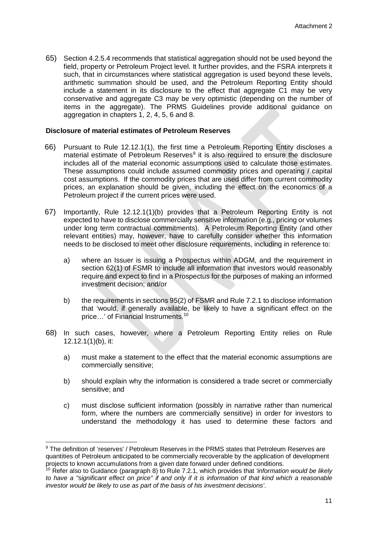65) Section 4.2.5.4 recommends that statistical aggregation should not be used beyond the field, property or Petroleum Project level. It further provides, and the FSRA interprets it such, that in circumstances where statistical aggregation is used beyond these levels, arithmetic summation should be used, and the Petroleum Reporting Entity should include a statement in its disclosure to the effect that aggregate C1 may be very conservative and aggregate C3 may be very optimistic (depending on the number of items in the aggregate). The PRMS Guidelines provide additional guidance on aggregation in chapters 1, 2, 4, 5, 6 and 8.

#### <span id="page-12-0"></span>**Disclosure of material estimates of Petroleum Reserves**

- 66) Pursuant to Rule 12.12.1(1), the first time a Petroleum Reporting Entity discloses a material estimate of Petroleum Reserves<sup>[9](#page-12-1)</sup> it is also required to ensure the disclosure includes all of the material economic assumptions used to calculate those estimates. These assumptions could include assumed commodity prices and operating / capital cost assumptions. If the commodity prices that are used differ from current commodity prices, an explanation should be given, including the effect on the economics of a Petroleum project if the current prices were used.
- 67) Importantly, Rule 12.12.1(1)(b) provides that a Petroleum Reporting Entity is not expected to have to disclose commercially sensitive information (e.g., pricing or volumes under long term contractual commitments). A Petroleum Reporting Entity (and other relevant entities) may, however, have to carefully consider whether this information needs to be disclosed to meet other disclosure requirements, including in reference to:
	- a) where an Issuer is issuing a Prospectus within ADGM, and the requirement in section 62(1) of FSMR to include all information that investors would reasonably require and expect to find in a Prospectus for the purposes of making an informed investment decision; and/or
	- b) the requirements in sections 95(2) of FSMR and Rule 7.2.1 to disclose information that 'would, if generally available, be likely to have a significant effect on the price…' of Financial Instruments.[10](#page-12-2)
- 68) In such cases, however, where a Petroleum Reporting Entity relies on Rule 12.12.1(1)(b), it:
	- a) must make a statement to the effect that the material economic assumptions are commercially sensitive;
	- b) should explain why the information is considered a trade secret or commercially sensitive; and
	- c) must disclose sufficient information (possibly in narrative rather than numerical form, where the numbers are commercially sensitive) in order for investors to understand the methodology it has used to determine these factors and

<span id="page-12-1"></span><sup>&</sup>lt;sup>9</sup> The definition of 'reserves' / Petroleum Reserves in the PRMS states that Petroleum Reserves are quantities of Petroleum anticipated to be commercially recoverable by the application of development projects to known accumulations from a given date forward under defined conditions.

<span id="page-12-2"></span><sup>10</sup> Refer also to Guidance (paragraph 8) to Rule 7.2.1, which provides that *'information would be likely to have a "significant effect on price" if and only if it is information of that kind which a reasonable investor would be likely to use as part of the basis of his investment decisions'*.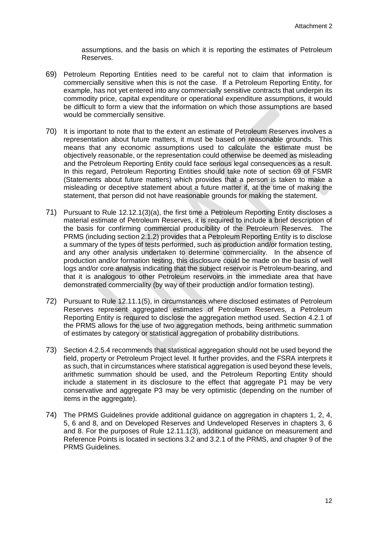assumptions, and the basis on which it is reporting the estimates of Petroleum Reserves.

- 69) Petroleum Reporting Entities need to be careful not to claim that information is commercially sensitive when this is not the case. If a Petroleum Reporting Entity, for example, has not yet entered into any commercially sensitive contracts that underpin its commodity price, capital expenditure or operational expenditure assumptions, it would be difficult to form a view that the information on which those assumptions are based would be commercially sensitive.
- 70) It is important to note that to the extent an estimate of Petroleum Reserves involves a representation about future matters, it must be based on reasonable grounds. This means that any economic assumptions used to calculate the estimate must be objectively reasonable, or the representation could otherwise be deemed as misleading and the Petroleum Reporting Entity could face serious legal consequences as a result. In this regard, Petroleum Reporting Entities should take note of section 69 of FSMR (Statements about future matters) which provides that a person is taken to make a misleading or deceptive statement about a future matter if, at the time of making the statement, that person did not have reasonable grounds for making the statement.
- 71) Pursuant to Rule 12.12.1(3)(a), the first time a Petroleum Reporting Entity discloses a material estimate of Petroleum Reserves, it is required to include a brief description of the basis for confirming commercial producibility of the Petroleum Reserves. The PRMS (including section 2.1.2) provides that a Petroleum Reporting Entity is to disclose a summary of the types of tests performed, such as production and/or formation testing, and any other analysis undertaken to determine commerciality. In the absence of production and/or formation testing, this disclosure could be made on the basis of well logs and/or core analysis indicating that the subject reservoir is Petroleum-bearing, and that it is analogous to other Petroleum reservoirs in the immediate area that have demonstrated commerciality (by way of their production and/or formation testing).
- 72) Pursuant to Rule 12.11.1(5), in circumstances where disclosed estimates of Petroleum Reserves represent aggregated estimates of Petroleum Reserves, a Petroleum Reporting Entity is required to disclose the aggregation method used. Section 4.2.1 of the PRMS allows for the use of two aggregation methods, being arithmetic summation of estimates by category or statistical aggregation of probability distributions.
- 73) Section 4.2.5.4 recommends that statistical aggregation should not be used beyond the field, property or Petroleum Project level. It further provides, and the FSRA interprets it as such, that in circumstances where statistical aggregation is used beyond these levels, arithmetic summation should be used, and the Petroleum Reporting Entity should include a statement in its disclosure to the effect that aggregate P1 may be very conservative and aggregate P3 may be very optimistic (depending on the number of items in the aggregate).
- 74) The PRMS Guidelines provide additional guidance on aggregation in chapters 1, 2, 4, 5, 6 and 8, and on Developed Reserves and Undeveloped Reserves in chapters 3, 6 and 8. For the purposes of Rule 12.11.1(3), additional guidance on measurement and Reference Points is located in sections 3.2 and 3.2.1 of the PRMS, and chapter 9 of the PRMS Guidelines.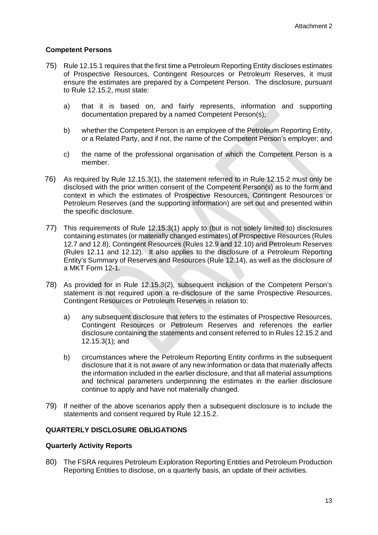## <span id="page-14-0"></span>**Competent Persons**

- 75) Rule 12.15.1 requires that the first time a Petroleum Reporting Entity discloses estimates of Prospective Resources, Contingent Resources or Petroleum Reserves, it must ensure the estimates are prepared by a Competent Person. The disclosure, pursuant to Rule 12.15.2, must state:
	- a) that it is based on, and fairly represents, information and supporting documentation prepared by a named Competent Person(s);
	- b) whether the Competent Person is an employee of the Petroleum Reporting Entity, or a Related Party, and if not, the name of the Competent Person's employer; and
	- c) the name of the professional organisation of which the Competent Person is a member.
- 76) As required by Rule 12.15.3(1), the statement referred to in Rule 12.15.2 must only be disclosed with the prior written consent of the Competent Person(s) as to the form and context in which the estimates of Prospective Resources, Contingent Resources or Petroleum Reserves (and the supporting information) are set out and presented within the specific disclosure.
- 77) This requirements of Rule 12.15.3(1) apply to (but is not solely limited to) disclosures containing estimates (or materially changed estimates) of Prospective Resources (Rules 12.7 and 12.8), Contingent Resources (Rules 12.9 and 12.10) and Petroleum Reserves (Rules 12.11 and 12.12). It also applies to the disclosure of a Petroleum Reporting Entity's Summary of Reserves and Resources (Rule 12.14), as well as the disclosure of a MKT Form 12-1.
- 78) As provided for in Rule 12.15.3(2), subsequent inclusion of the Competent Person's statement is not required upon a re-disclosure of the same Prospective Resources, Contingent Resources or Petroleum Reserves in relation to:
	- a) any subsequent disclosure that refers to the estimates of Prospective Resources, Contingent Resources or Petroleum Reserves and references the earlier disclosure containing the statements and consent referred to in Rules 12.15.2 and 12.15.3(1); and
	- b) circumstances where the Petroleum Reporting Entity confirms in the subsequent disclosure that it is not aware of any new information or data that materially affects the information included in the earlier disclosure, and that all material assumptions and technical parameters underpinning the estimates in the earlier disclosure continue to apply and have not materially changed.
- 79) If neither of the above scenarios apply then a subsequent disclosure is to include the statements and consent required by Rule 12.15.2.

#### <span id="page-14-1"></span>**QUARTERLY DISCLOSURE OBLIGATIONS**

#### <span id="page-14-2"></span>**Quarterly Activity Reports**

80) The FSRA requires Petroleum Exploration Reporting Entities and Petroleum Production Reporting Entities to disclose, on a quarterly basis, an update of their activities.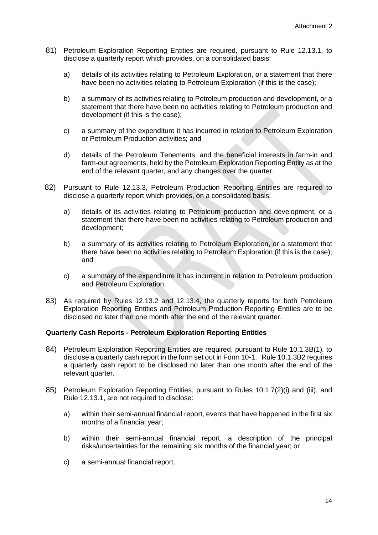- 81) Petroleum Exploration Reporting Entities are required, pursuant to Rule 12.13.1, to disclose a quarterly report which provides, on a consolidated basis:
	- a) details of its activities relating to Petroleum Exploration, or a statement that there have been no activities relating to Petroleum Exploration (if this is the case);
	- b) a summary of its activities relating to Petroleum production and development, or a statement that there have been no activities relating to Petroleum production and development (if this is the case);
	- c) a summary of the expenditure it has incurred in relation to Petroleum Exploration or Petroleum Production activities; and
	- d) details of the Petroleum Tenements, and the beneficial interests in farm-in and farm-out agreements, held by the Petroleum Exploration Reporting Entity as at the end of the relevant quarter, and any changes over the quarter.
- 82) Pursuant to Rule 12.13.3, Petroleum Production Reporting Entities are required to disclose a quarterly report which provides, on a consolidated basis:
	- a) details of its activities relating to Petroleum production and development, or a statement that there have been no activities relating to Petroleum production and development;
	- b) a summary of its activities relating to Petroleum Exploration, or a statement that there have been no activities relating to Petroleum Exploration (if this is the case); and
	- c) a summary of the expenditure it has incurrent in relation to Petroleum production and Petroleum Exploration.
- 83) As required by Rules 12.13.2 and 12.13.4, the quarterly reports for both Petroleum Exploration Reporting Entities and Petroleum Production Reporting Entities are to be disclosed no later than one month after the end of the relevant quarter.

#### <span id="page-15-0"></span>**Quarterly Cash Reports - Petroleum Exploration Reporting Entities**

- 84) Petroleum Exploration Reporting Entities are required, pursuant to Rule 10.1.3B(1), to disclose a quarterly cash report in the form set out in Form 10-1. Rule 10.1.3B2 requires a quarterly cash report to be disclosed no later than one month after the end of the relevant quarter.
- 85) Petroleum Exploration Reporting Entities, pursuant to Rules 10.1.7(2)(i) and (iii), and Rule 12.13.1, are not required to disclose:
	- a) within their semi-annual financial report, events that have happened in the first six months of a financial year;
	- b) within their semi-annual financial report, a description of the principal risks/uncertainties for the remaining six months of the financial year; or
	- c) a semi-annual financial report.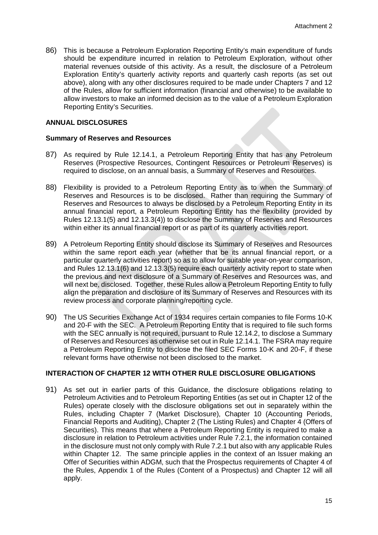86) This is because a Petroleum Exploration Reporting Entity's main expenditure of funds should be expenditure incurred in relation to Petroleum Exploration, without other material revenues outside of this activity. As a result, the disclosure of a Petroleum Exploration Entity's quarterly activity reports and quarterly cash reports (as set out above), along with any other disclosures required to be made under Chapters 7 and 12 of the Rules, allow for sufficient information (financial and otherwise) to be available to allow investors to make an informed decision as to the value of a Petroleum Exploration Reporting Entity's Securities.

## <span id="page-16-0"></span>**ANNUAL DISCLOSURES**

#### <span id="page-16-1"></span>**Summary of Reserves and Resources**

- 87) As required by Rule 12.14.1, a Petroleum Reporting Entity that has any Petroleum Reserves (Prospective Resources, Contingent Resources or Petroleum Reserves) is required to disclose, on an annual basis, a Summary of Reserves and Resources.
- 88) Flexibility is provided to a Petroleum Reporting Entity as to when the Summary of Reserves and Resources is to be disclosed. Rather than requiring the Summary of Reserves and Resources to always be disclosed by a Petroleum Reporting Entity in its annual financial report, a Petroleum Reporting Entity has the flexibility (provided by Rules 12.13.1(5) and 12.13.3(4)) to disclose the Summary of Reserves and Resources within either its annual financial report or as part of its quarterly activities report.
- 89) A Petroleum Reporting Entity should disclose its Summary of Reserves and Resources within the same report each year (whether that be its annual financial report, or a particular quarterly activities report) so as to allow for suitable year-on-year comparison, and Rules 12.13.1(6) and 12.13.3(5) require each quarterly activity report to state when the previous and next disclosure of a Summary of Reserves and Resources was, and will next be, disclosed. Together, these Rules allow a Petroleum Reporting Entity to fully align the preparation and disclosure of its Summary of Reserves and Resources with its review process and corporate planning/reporting cycle.
- 90) The US Securities Exchange Act of 1934 requires certain companies to file Forms 10-K and 20-F with the SEC. A Petroleum Reporting Entity that is required to file such forms with the SEC annually is not required, pursuant to Rule 12.14.2, to disclose a Summary of Reserves and Resources as otherwise set out in Rule 12.14.1. The FSRA may require a Petroleum Reporting Entity to disclose the filed SEC Forms 10-K and 20-F, if these relevant forms have otherwise not been disclosed to the market.

## <span id="page-16-2"></span>**INTERACTION OF CHAPTER 12 WITH OTHER RULE DISCLOSURE OBLIGATIONS**

91) As set out in earlier parts of this Guidance, the disclosure obligations relating to Petroleum Activities and to Petroleum Reporting Entities (as set out in Chapter 12 of the Rules) operate closely with the disclosure obligations set out in separately within the Rules, including Chapter 7 (Market Disclosure), Chapter 10 (Accounting Periods, Financial Reports and Auditing), Chapter 2 (The Listing Rules) and Chapter 4 (Offers of Securities). This means that where a Petroleum Reporting Entity is required to make a disclosure in relation to Petroleum activities under Rule 7.2.1, the information contained in the disclosure must not only comply with Rule 7.2.1 but also with any applicable Rules within Chapter 12. The same principle applies in the context of an Issuer making an Offer of Securities within ADGM, such that the Prospectus requirements of Chapter 4 of the Rules, Appendix 1 of the Rules (Content of a Prospectus) and Chapter 12 will all apply.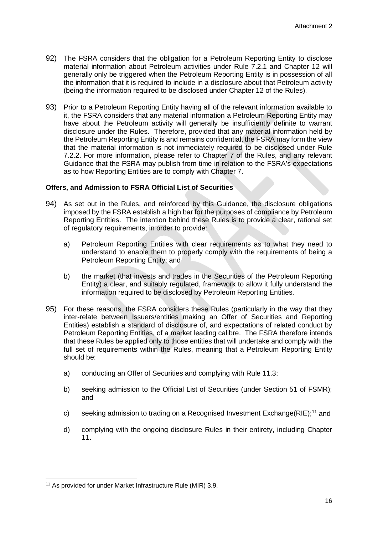- 92) The FSRA considers that the obligation for a Petroleum Reporting Entity to disclose material information about Petroleum activities under Rule 7.2.1 and Chapter 12 will generally only be triggered when the Petroleum Reporting Entity is in possession of all the information that it is required to include in a disclosure about that Petroleum activity (being the information required to be disclosed under Chapter 12 of the Rules).
- 93) Prior to a Petroleum Reporting Entity having all of the relevant information available to it, the FSRA considers that any material information a Petroleum Reporting Entity may have about the Petroleum activity will generally be insufficiently definite to warrant disclosure under the Rules. Therefore, provided that any material information held by the Petroleum Reporting Entity is and remains confidential, the FSRA may form the view that the material information is not immediately required to be disclosed under Rule 7.2.2. For more information, please refer to Chapter 7 of the Rules, and any relevant Guidance that the FSRA may publish from time in relation to the FSRA's expectations as to how Reporting Entities are to comply with Chapter 7.

## <span id="page-17-0"></span>**Offers, and Admission to FSRA Official List of Securities**

- 94) As set out in the Rules, and reinforced by this Guidance, the disclosure obligations imposed by the FSRA establish a high bar for the purposes of compliance by Petroleum Reporting Entities. The intention behind these Rules is to provide a clear, rational set of regulatory requirements, in order to provide:
	- a) Petroleum Reporting Entities with clear requirements as to what they need to understand to enable them to properly comply with the requirements of being a Petroleum Reporting Entity; and
	- b) the market (that invests and trades in the Securities of the Petroleum Reporting Entity) a clear, and suitably regulated, framework to allow it fully understand the information required to be disclosed by Petroleum Reporting Entities.
- 95) For these reasons, the FSRA considers these Rules (particularly in the way that they inter-relate between Issuers/entities making an Offer of Securities and Reporting Entities) establish a standard of disclosure of, and expectations of related conduct by Petroleum Reporting Entities, of a market leading calibre. The FSRA therefore intends that these Rules be applied only to those entities that will undertake and comply with the full set of requirements within the Rules, meaning that a Petroleum Reporting Entity should be:
	- a) conducting an Offer of Securities and complying with Rule 11.3;
	- b) seeking admission to the Official List of Securities (under Section 51 of FSMR); and
	- c) seeking admission to trading on a Recognised Investment Exchange  $(RIE)$ ;<sup>[11](#page-17-1)</sup> and
	- d) complying with the ongoing disclosure Rules in their entirety, including Chapter 11.

<span id="page-17-1"></span><sup>&</sup>lt;sup>11</sup> As provided for under Market Infrastructure Rule (MIR) 3.9.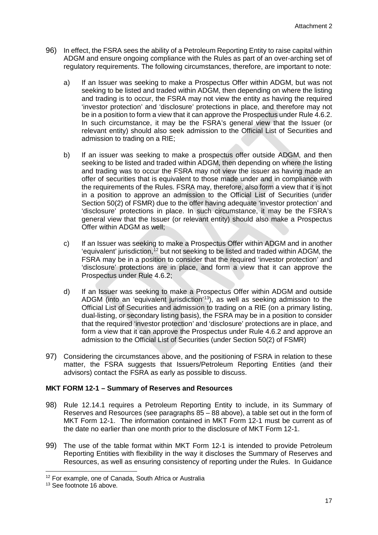- 96) In effect, the FSRA sees the ability of a Petroleum Reporting Entity to raise capital within ADGM and ensure ongoing compliance with the Rules as part of an over-arching set of regulatory requirements. The following circumstances, therefore, are important to note:
	- a) If an Issuer was seeking to make a Prospectus Offer within ADGM, but was not seeking to be listed and traded within ADGM, then depending on where the listing and trading is to occur, the FSRA may not view the entity as having the required 'investor protection' and 'disclosure' protections in place, and therefore may not be in a position to form a view that it can approve the Prospectus under Rule 4.6.2. In such circumstance, it may be the FSRA's general view that the Issuer (or relevant entity) should also seek admission to the Official List of Securities and admission to trading on a RIE;
	- b) If an issuer was seeking to make a prospectus offer outside ADGM, and then seeking to be listed and traded within ADGM, then depending on where the listing and trading was to occur the FSRA may not view the issuer as having made an offer of securities that is equivalent to those made under and in compliance with the requirements of the Rules. FSRA may, therefore, also form a view that it is not in a position to approve an admission to the Official List of Securities (under Section 50(2) of FSMR) due to the offer having adequate 'investor protection' and 'disclosure' protections in place. In such circumstance, it may be the FSRA's general view that the Issuer (or relevant entity) should also make a Prospectus Offer within ADGM as well;
	- c) If an Issuer was seeking to make a Prospectus Offer within ADGM and in another 'equivalent' jurisdiction,<sup>[12](#page-18-1)</sup> but not seeking to be listed and traded within ADGM, the FSRA may be in a position to consider that the required 'investor protection' and 'disclosure' protections are in place, and form a view that it can approve the Prospectus under Rule 4.6.2;
	- d) If an Issuer was seeking to make a Prospectus Offer within ADGM and outside ADGM (into an 'equivalent jurisdiction'[13](#page-18-2)), as well as seeking admission to the Official List of Securities and admission to trading on a RIE (on a primary listing, dual-listing, or secondary listing basis), the FSRA may be in a position to consider that the required 'investor protection' and 'disclosure' protections are in place, and form a view that it can approve the Prospectus under Rule 4.6.2 and approve an admission to the Official List of Securities (under Section 50(2) of FSMR)
- 97) Considering the circumstances above, and the positioning of FSRA in relation to these matter, the FSRA suggests that Issuers/Petroleum Reporting Entities (and their advisors) contact the FSRA as early as possible to discuss.

## <span id="page-18-0"></span>**MKT FORM 12-1 – Summary of Reserves and Resources**

- 98) Rule 12.14.1 requires a Petroleum Reporting Entity to include, in its Summary of Reserves and Resources (see paragraphs 85 – 88 above), a table set out in the form of MKT Form 12-1. The information contained in MKT Form 12-1 must be current as of the date no earlier than one month prior to the disclosure of MKT Form 12-1.
- 99) The use of the table format within MKT Form 12-1 is intended to provide Petroleum Reporting Entities with flexibility in the way it discloses the Summary of Reserves and Resources, as well as ensuring consistency of reporting under the Rules. In Guidance

<span id="page-18-1"></span> <sup>12</sup> For example, one of Canada, South Africa or Australia

<span id="page-18-2"></span><sup>&</sup>lt;sup>13</sup> See footnote 16 above.